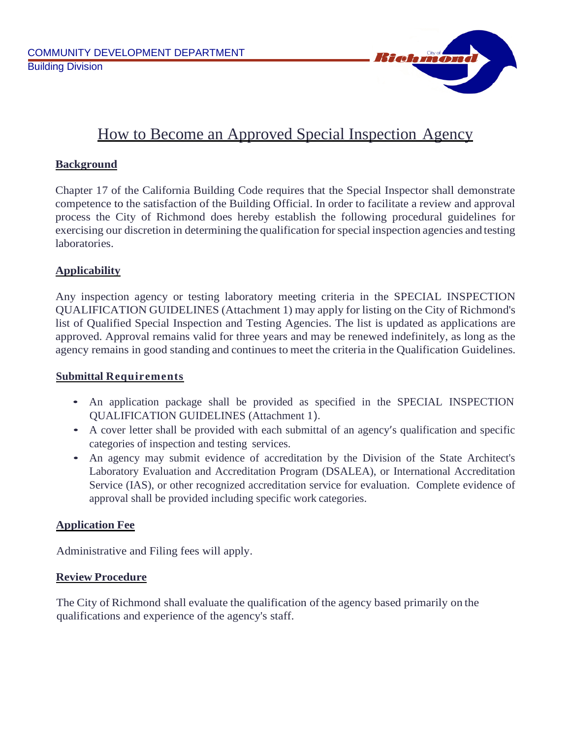

# How to Become an Approved Special Inspection Agency

## **Background**

Chapter 17 of the California Building Code requires that the Special Inspector shall demonstrate competence to the satisfaction of the Building Official. In order to facilitate a review and approval process the City of Richmond does hereby establish the following procedural guidelines for exercising our discretion in determining the qualification for special inspection agencies and testing laboratories.

## **Applicability**

Any inspection agency or testing laboratory meeting criteria in the SPECIAL INSPECTION QUALIFICATION GUIDELINES (Attachment 1) may apply for listing on the City of Richmond's list of Qualified Special Inspection and Testing Agencies. The list is updated as applications are approved. Approval remains valid for three years and may be renewed indefinitely, as long as the agency remains in good standing and continues to meet the criteria in the Qualification Guidelines.

## **Submittal Requirements**

- An application package shall be provided as specified in the SPECIAL INSPECTION QUALIFICATION GUIDELINES (Attachment 1).
- A cover letter shall be provided with each submittal of an agency's qualification and specific categories of inspection and testing services.
- An agency may submit evidence of accreditation by the Division of the State Architect's Laboratory Evaluation and Accreditation Program (DSALEA), or International Accreditation Service (IAS), or other recognized accreditation service for evaluation. Complete evidence of approval shall be provided including specific work categories.

## **Application Fee**

Administrative and Filing fees will apply.

## **Review Procedure**

The City of Richmond shall evaluate the qualification of the agency based primarily on the qualifications and experience of the agency's staff.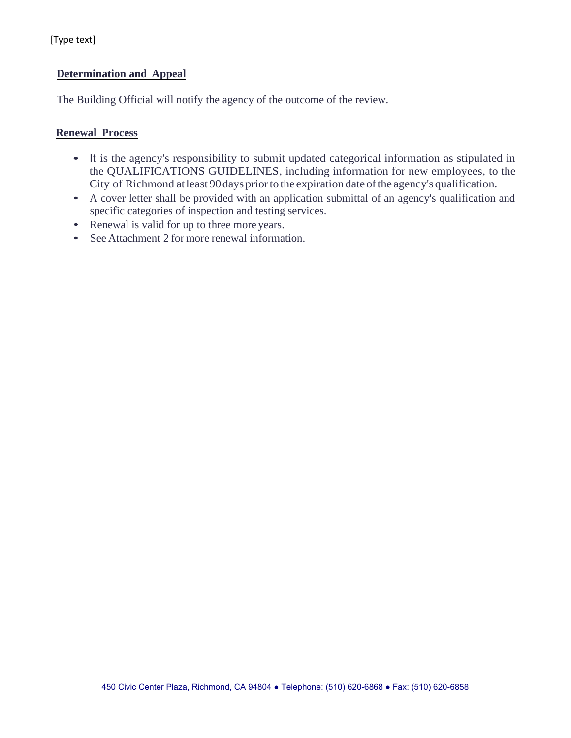### **Determination and Appeal**

The Building Official will notify the agency of the outcome of the review.

#### **Renewal Process**

- It is the agency's responsibility to submit updated categorical information as stipulated in the QUALIFICATIONS GUIDELINES, including information for new employees, to the City of Richmond atleast 90days priorto the expiration dateofthe agency's qualification.
- A cover letter shall be provided with an application submittal of an agency's qualification and specific categories of inspection and testing services.
- Renewal is valid for up to three more years.
- See Attachment 2 for more renewal information.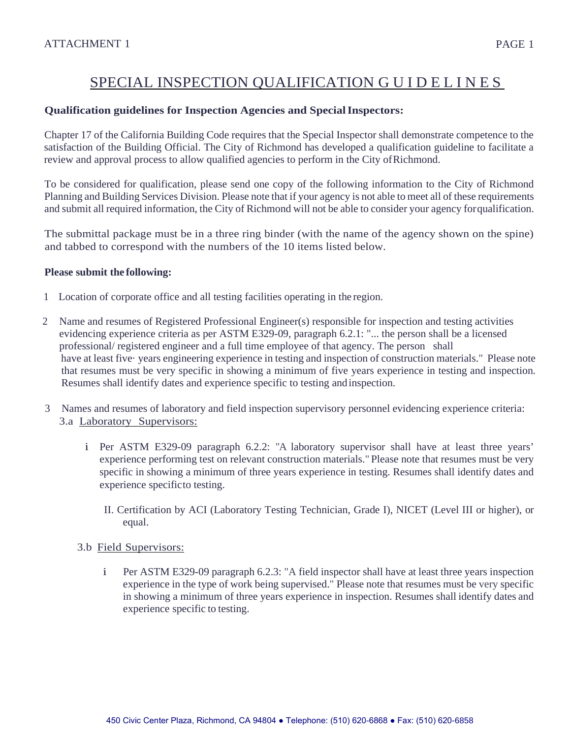# SPECIAL INSPECTION QUALIFICATION GUIDELINES

#### **Qualification guidelines for Inspection Agencies and SpecialInspectors:**

Chapter 17 of the California Building Code requires that the Special Inspector shall demonstrate competence to the satisfaction of the Building Official. The City of Richmond has developed a qualification guideline to facilitate a review and approval process to allow qualified agencies to perform in the City ofRichmond.

To be considered for qualification, please send one copy of the following information to the City of Richmond Planning and Building Services Division. Please note that if your agency is not able to meet all of these requirements and submit all required information, the City of Richmond will not be able to consider your agency forqualification.

The submittal package must be in a three ring binder (with the name of the agency shown on the spine) and tabbed to correspond with the numbers of the 10 items listed below.

#### **Please submit the following:**

- 1 Location of corporate office and all testing facilities operating in the region.
- 2 Name and resumes of Registered Professional Engineer(s) responsible for inspection and testing activities evidencing experience criteria as per ASTM E329-09, paragraph 6.2.1: "... the person shall be a licensed professional/ registered engineer and a full time employee of that agency. The person shall have at least five· years engineering experience in testing and inspection of construction materials." Please note that resumes must be very specific in showing a minimum of five years experience in testing and inspection. Resumes shall identify dates and experience specific to testing andinspection.
- 3 Names and resumes of laboratory and field inspection supervisory personnel evidencing experience criteria: 3.a Laboratory Supervisors:
	- i Per ASTM E329-09 paragraph 6.2.2: "A laboratory supervisor shall have at least three years' experience performing test on relevant construction materials." Please note that resumes must be very specific in showing a minimum of three years experience in testing. Resumes shall identify dates and experience specificto testing.
		- II. Certification by ACI (Laboratory Testing Technician, Grade I), NICET (Level III or higher), or equal.

#### 3.b Field Supervisors:

i Per ASTM E329-09 paragraph 6.2.3: "A field inspector shall have at least three years inspection experience in the type of work being supervised." Please note that resumes must be very specific in showing a minimum of three years experience in inspection. Resumes shall identify dates and experience specific to testing.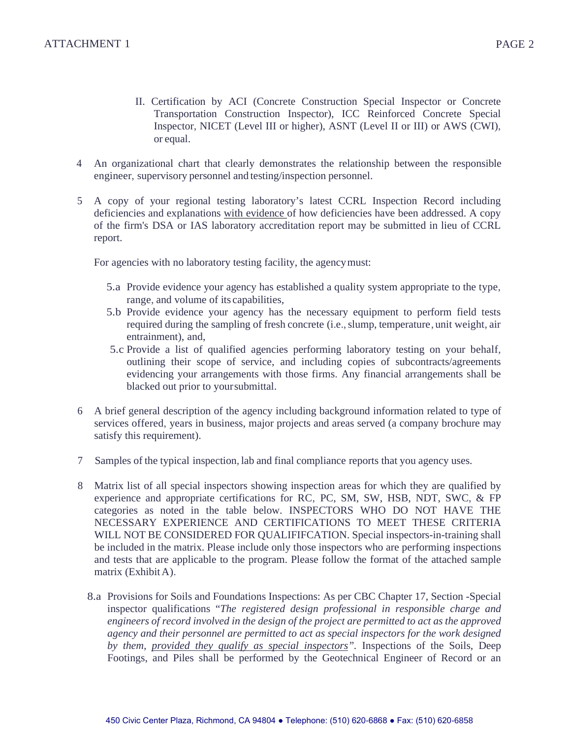- II. Certification by ACI (Concrete Construction Special Inspector or Concrete Transportation Construction Inspector), ICC Reinforced Concrete Special Inspector, NICET (Level III or higher), ASNT (Level II or III) or AWS (CWI), or equal.
- 4 An organizational chart that clearly demonstrates the relationship between the responsible engineer, supervisory personnel and testing/inspection personnel.
- 5 A copy of your regional testing laboratory's latest CCRL Inspection Record including deficiencies and explanations with evidence of how deficiencies have been addressed. A copy of the firm's DSA or IAS laboratory accreditation report may be submitted in lieu of CCRL report.

For agencies with no laboratory testing facility, the agencymust:

- 5.a Provide evidence your agency has established a quality system appropriate to the type, range, and volume of its capabilities,
- 5.b Provide evidence your agency has the necessary equipment to perform field tests required during the sampling of fresh concrete (i.e.,slump, temperature, unit weight, air entrainment), and,
- 5.c Provide a list of qualified agencies performing laboratory testing on your behalf, outlining their scope of service, and including copies of subcontracts/agreements evidencing your arrangements with those firms. Any financial arrangements shall be blacked out prior to yoursubmittal.
- 6 A brief general description of the agency including background information related to type of services offered, years in business, major projects and areas served (a company brochure may satisfy this requirement).
- 7 Samples of the typical inspection, lab and final compliance reports that you agency uses.
- 8 Matrix list of all special inspectors showing inspection areas for which they are qualified by experience and appropriate certifications for RC, PC, SM, SW, HSB, NDT, SWC, & FP categories as noted in the table below. INSPECTORS WHO DO NOT HAVE THE NECESSARY EXPERIENCE AND CERTIFICATIONS TO MEET THESE CRITERIA WILL NOT BE CONSIDERED FOR QUALIFIFCATION. Special inspectors-in-training shall be included in the matrix. Please include only those inspectors who are performing inspections and tests that are applicable to the program. Please follow the format of the attached sample matrix (Exhibit A).
	- 8.a Provisions for Soils and Foundations Inspections: As per CBC Chapter 17, Section -Special inspector qualifications "*The registered design professional in responsible charge and engineers of record involved in the design of the project are permitted to act as the approved agency and their personnel are permitted to act as special inspectors for the work designed by them, provided they qualify as special inspectors".* Inspections of the Soils, Deep Footings, and Piles shall be performed by the Geotechnical Engineer of Record or an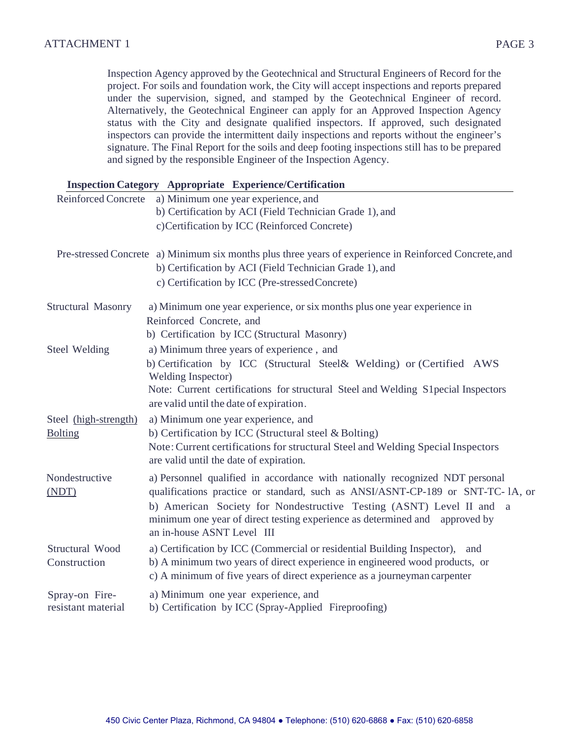Inspection Agency approved by the Geotechnical and Structural Engineers of Record for the project. For soils and foundation work, the City will accept inspections and reports prepared under the supervision, signed, and stamped by the Geotechnical Engineer of record. Alternatively, the Geotechnical Engineer can apply for an Approved Inspection Agency status with the City and designate qualified inspectors. If approved, such designated inspectors can provide the intermittent daily inspections and reports without the engineer's signature. The Final Report for the soils and deep footing inspections still has to be prepared and signed by the responsible Engineer of the Inspection Agency.

|                                      | <b>Inspection Category Appropriate Experience/Certification</b>                                                                                                                                                                         |
|--------------------------------------|-----------------------------------------------------------------------------------------------------------------------------------------------------------------------------------------------------------------------------------------|
| <b>Reinforced Concrete</b>           | a) Minimum one year experience, and                                                                                                                                                                                                     |
|                                      | b) Certification by ACI (Field Technician Grade 1), and                                                                                                                                                                                 |
|                                      | c)Certification by ICC (Reinforced Concrete)                                                                                                                                                                                            |
|                                      | Pre-stressed Concrete a) Minimum six months plus three years of experience in Reinforced Concrete, and                                                                                                                                  |
|                                      | b) Certification by ACI (Field Technician Grade 1), and                                                                                                                                                                                 |
|                                      | c) Certification by ICC (Pre-stressed Concrete)                                                                                                                                                                                         |
| <b>Structural Masonry</b>            | a) Minimum one year experience, or six months plus one year experience in                                                                                                                                                               |
|                                      | Reinforced Concrete, and                                                                                                                                                                                                                |
|                                      | b) Certification by ICC (Structural Masonry)                                                                                                                                                                                            |
| Steel Welding                        | a) Minimum three years of experience, and                                                                                                                                                                                               |
|                                      | b) Certification by ICC (Structural Steel& Welding) or (Certified AWS<br><b>Welding Inspector)</b>                                                                                                                                      |
|                                      | Note: Current certifications for structural Steel and Welding S1 pecial Inspectors<br>are valid until the date of expiration.                                                                                                           |
| Steel (high-strength)                | a) Minimum one year experience, and                                                                                                                                                                                                     |
| <b>Bolting</b>                       | b) Certification by ICC (Structural steel & Bolting)                                                                                                                                                                                    |
|                                      | Note: Current certifications for structural Steel and Welding Special Inspectors<br>are valid until the date of expiration.                                                                                                             |
| Nondestructive<br>(NDT)              | a) Personnel qualified in accordance with nationally recognized NDT personal<br>qualifications practice or standard, such as ANSI/ASNT-CP-189 or SNT-TC-1A, or                                                                          |
|                                      | b) American Society for Nondestructive Testing (ASNT) Level II and a<br>minimum one year of direct testing experience as determined and approved by<br>an in-house ASNT Level III                                                       |
| Structural Wood<br>Construction      | a) Certification by ICC (Commercial or residential Building Inspector), and<br>b) A minimum two years of direct experience in engineered wood products, or<br>c) A minimum of five years of direct experience as a journeyman carpenter |
| Spray-on Fire-<br>resistant material | a) Minimum one year experience, and<br>b) Certification by ICC (Spray-Applied Fireproofing)                                                                                                                                             |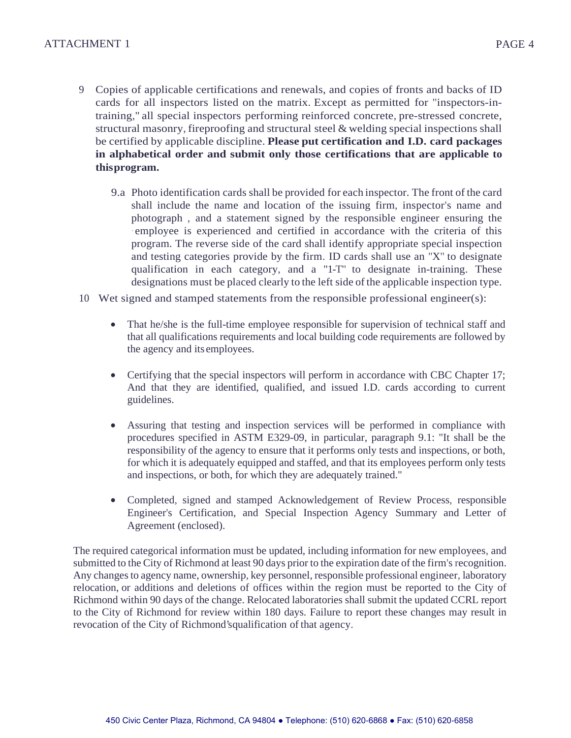- 9 Copies of applicable certifications and renewals, and copies of fronts and backs of ID cards for all inspectors listed on the matrix. Except as permitted for "inspectors-intraining," all special inspectors performing reinforced concrete, pre-stressed concrete, structural masonry, fireproofing and structural steel & welding special inspections shall be certified by applicable discipline. **Please put certification and I.D. card packages in alphabetical order and submit only those certifications that are applicable to thisprogram.**
	- 9.a Photo identification cards shall be provided for each inspector. The front of the card shall include the name and location of the issuing firm, inspector's name and photograph , and a statement signed by the responsible engineer ensuring the ·employee is experienced and certified in accordance with the criteria of this program. The reverse side of the card shall identify appropriate special inspection and testing categories provide by the firm. ID cards shall use an "X" to designate qualification in each category, and a "1-T" to designate in-training. These designations must be placed clearly to the left side of the applicable inspection type.
- 10 Wet signed and stamped statements from the responsible professional engineer(s):
	- That he/she is the full-time employee responsible for supervision of technical staff and that all qualifications requirements and local building code requirements are followed by the agency and its employees.
	- Certifying that the special inspectors will perform in accordance with CBC Chapter 17; And that they are identified, qualified, and issued I.D. cards according to current guidelines.
	- Assuring that testing and inspection services will be performed in compliance with procedures specified in ASTM E329-09, in particular, paragraph 9.1: "It shall be the responsibility of the agency to ensure that it performs only tests and inspections, or both, for which it is adequately equipped and staffed, and that its employees perform only tests and inspections, or both, for which they are adequately trained."
	- Completed, signed and stamped Acknowledgement of Review Process, responsible Engineer's Certification, and Special Inspection Agency Summary and Letter of Agreement (enclosed).

The required categorical information must be updated, including information for new employees, and submitted to the City of Richmond at least 90 days prior to the expiration date of the firm's recognition. Any changes to agency name, ownership, key personnel, responsible professional engineer, laboratory relocation, or additions and deletions of offices within the region must be reported to the City of Richmond within 90 days of the change. Relocated laboratories shall submit the updated CCRL report to the City of Richmond for review within 180 days. Failure to report these changes may result in revocation of the City of Richmond'squalification of that agency.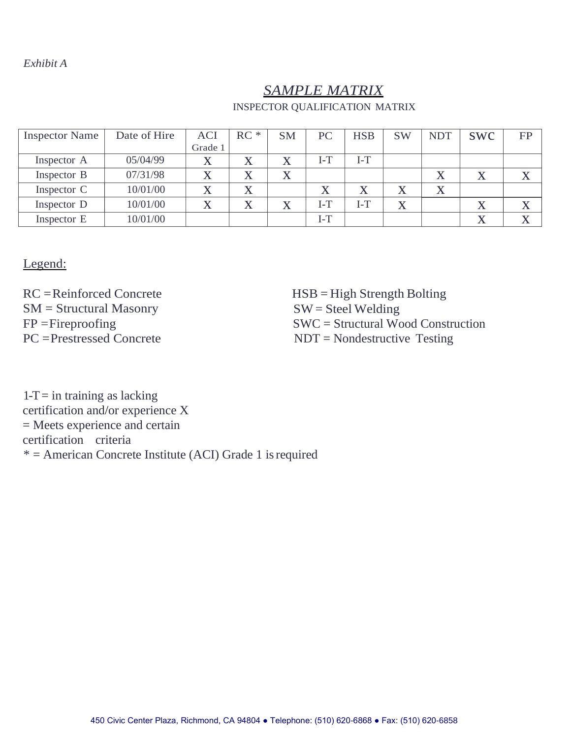#### *Exhibit A*

# *SAMPLE MATRIX*

| <b>Inspector Name</b> | Date of Hire | <b>ACI</b> | $RC *$            | <b>SM</b>                 | PC        | <b>HSB</b> | <b>SW</b> | <b>NDT</b> | <b>SWC</b> | <b>FP</b> |
|-----------------------|--------------|------------|-------------------|---------------------------|-----------|------------|-----------|------------|------------|-----------|
|                       |              | Grade 1    |                   |                           |           |            |           |            |            |           |
| Inspector A           | 05/04/99     |            | $\mathbf v$       |                           | $I-T$     | $I-I$      |           |            |            |           |
| Inspector B           | 07/31/98     |            | $\mathbf v$       | $\boldsymbol{\mathrm{X}}$ |           |            |           | X          | $\Lambda$  |           |
| Inspector C           | 10/01/00     |            |                   |                           | $\Lambda$ |            | $\Lambda$ | X          |            |           |
| Inspector D           | 10/01/00     |            | $\mathbf{v}$<br>∡ |                           | $I-T$     | $I-T$      | X         |            | $\Lambda$  |           |
| Inspector E           | 10/01/00     |            |                   |                           | $I-T$     |            |           |            | Λ          |           |

Legend:

RC =Reinforced Concrete SM = Structural Masonry  $FP = Fireproofing$ PC =Prestressed Concrete

HSB = High Strength Bolting  $SW =$  Steel Welding SWC = Structural Wood Construction NDT = Nondestructive Testing

 $1-T =$  in training as lacking certification and/or experience X = Meets experience and certain certification criteria  $* =$  American Concrete Institute (ACI) Grade 1 is required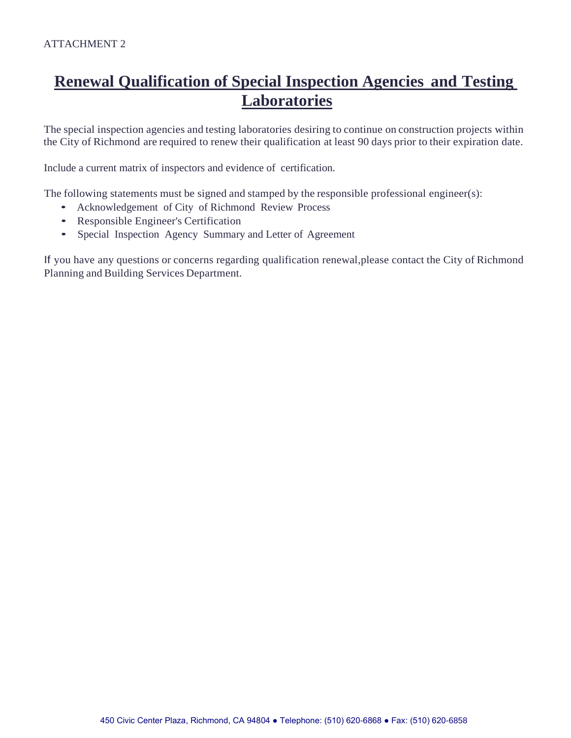# **Renewal Qualification of Special Inspection Agencies and Testing Laboratories**

The special inspection agencies and testing laboratories desiring to continue on construction projects within the City of Richmond are required to renew their qualification at least 90 days prior to their expiration date.

Include a current matrix of inspectors and evidence of certification.

The following statements must be signed and stamped by the responsible professional engineer(s):

- Acknowledgement of City of Richmond Review Process
- Responsible Engineer's Certification
- Special Inspection Agency Summary and Letter of Agreement

If you have any questions or concerns regarding qualification renewal,please contact the City of Richmond Planning and Building Services Department.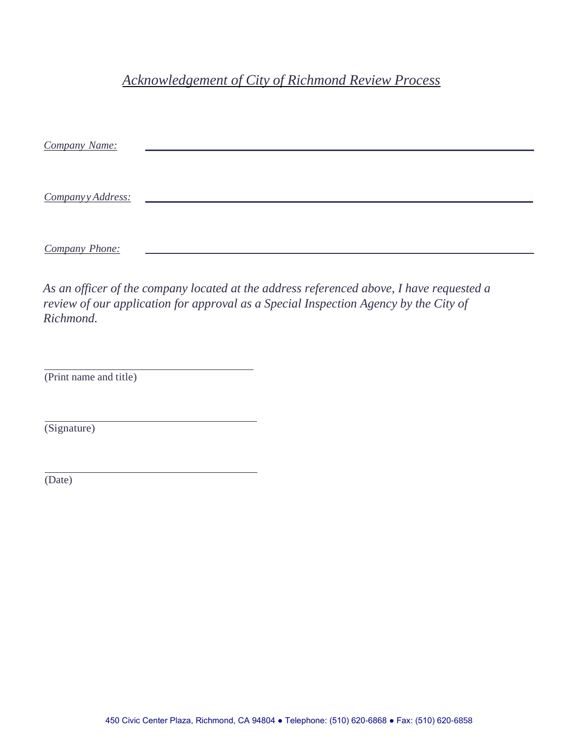# *Acknowledgement of City of Richmond Review Process*

| Company Name:     |  |  |  |
|-------------------|--|--|--|
|                   |  |  |  |
|                   |  |  |  |
| Companyy Address: |  |  |  |
|                   |  |  |  |
|                   |  |  |  |
| Company Phone:    |  |  |  |
|                   |  |  |  |

*As an officer of the company located at the address referenced above, I have requested a review of our application for approval as a Special Inspection Agency by the City of Richmond.*

(Print name and title)

(Signature)

(Date)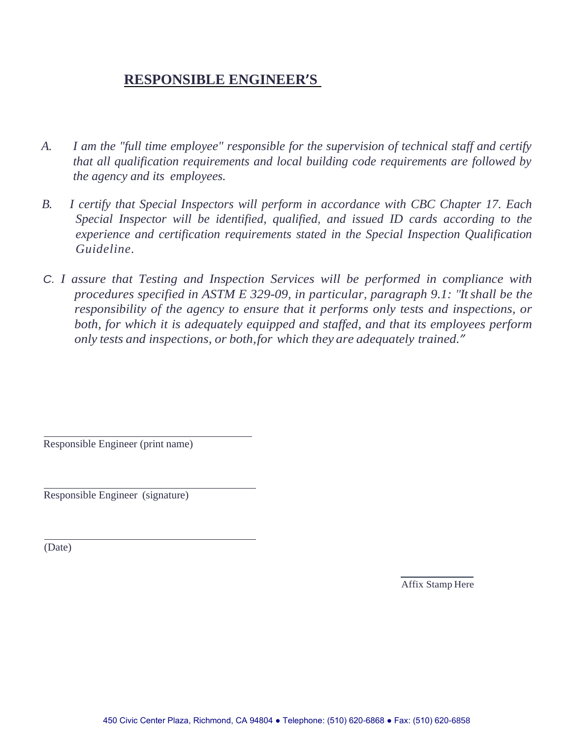# **RESPONSIBLE ENGINEER'S**

- *A. I am the "full time employee" responsible for the supervision of technical staff and certify that all qualification requirements and local building code requirements are followed by the agency and its employees.*
- *B. I certify that Special Inspectors will perform in accordance with CBC Chapter 17. Each Special Inspector will be identified, qualified, and issued ID cards according to the experience and certification requirements stated in the Special Inspection Qualification Guideline.*
- *C. I assure that Testing and Inspection Services will be performed in compliance with procedures specified in ASTM E 329-09, in particular, paragraph 9.1: "It shall be the responsibility of the agency to ensure that it performs only tests and inspections, or both, for which it is adequately equipped and staffed, and that its employees perform only tests and inspections, or both,for which they are adequately trained."*

Responsible Engineer (print name)

Responsible Engineer (signature)

(Date)

Affix Stamp Here